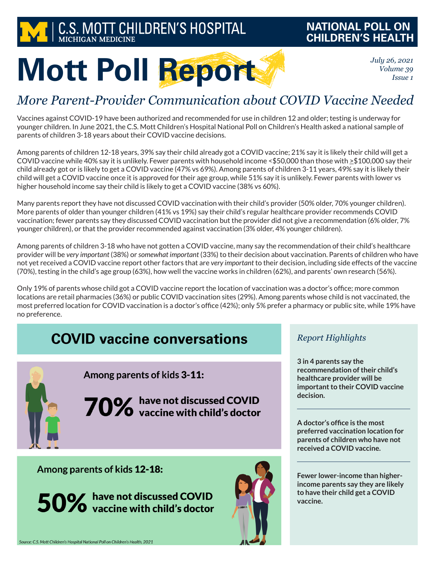

### **NATIONAL POLL ON CHILDREN'S HEALTH**

*July 26, 2021 Volume 39 Issue 1*

# **Mott Poll Report**

## *More Parent-Provider Communication about COVID Vaccine Needed*

Vaccines against COVID-19 have been authorized and recommended for use in children 12 and older; testing is underway for younger children. In June 2021, the C.S. Mott Children's Hospital National Poll on Children's Health asked a national sample of parents of children 3-18 years about their COVID vaccine decisions.

Among parents of children 12-18 years, 39% say their child already got a COVID vaccine; 21% say it is likely their child will get a COVID vaccine while 40% say it is unlikely. Fewer parents with household income <\$50,000 than those with  $\geq$ \$100,000 say their child already got or is likely to get a COVID vaccine (47% vs 69%). Among parents of children 3-11 years, 49% say it is likely their child will get a COVID vaccine once it is approved for their age group, while 51% say it is unlikely. Fewer parents with lower vs higher household income say their child is likely to get a COVID vaccine (38% vs 60%).

Many parents report they have not discussed COVID vaccination with their child's provider (50% older, 70% younger children). More parents of older than younger children (41% vs 19%) say their child's regular healthcare provider recommends COVID vaccination; fewer parents say they discussed COVID vaccination but the provider did not give a recommendation (6% older, 7% younger children), or that the provider recommended against vaccination (3% older, 4% younger children).

Among parents of children 3-18 who have not gotten a COVID vaccine, many say the recommendation of their child's healthcare provider will be *very important* (38%) or *somewhat important* (33%) to their decision about vaccination. Parents of children who have not yet received a COVID vaccine report other factors that are *very important* to their decision, including side effects of the vaccine (70%), testing in the child's age group (63%), how well the vaccine works in children (62%), and parents' own research (56%).

Only 19% of parents whose child got a COVID vaccine report the location of vaccination was a doctor's office; more common locations are retail pharmacies (36%) or public COVID vaccination sites (29%). Among parents whose child is not vaccinated, the most preferred location for COVID vaccination is a doctor's office (42%); only 5% prefer a pharmacy or public site, while 19% have no preference.

## **COVID vaccine conversations**



Among parents of kids 3-11:

70% have not discussed COVID<br>70% vaccine with child's doctor

#### Among parents of kids 12-18:

50% have not discussed COVID<br>vaccine with child's doctor



#### *Report Highlights*

**3 in 4 parents say the recommendation of their child's healthcare provider will be important to their COVID vaccine decision.**

**A doctor's office is the most preferred vaccination location for parents of children who have not received a COVID vaccine.** 

**Fewer lower-income than higherincome parents say they are likely to have their child get a COVID vaccine.**